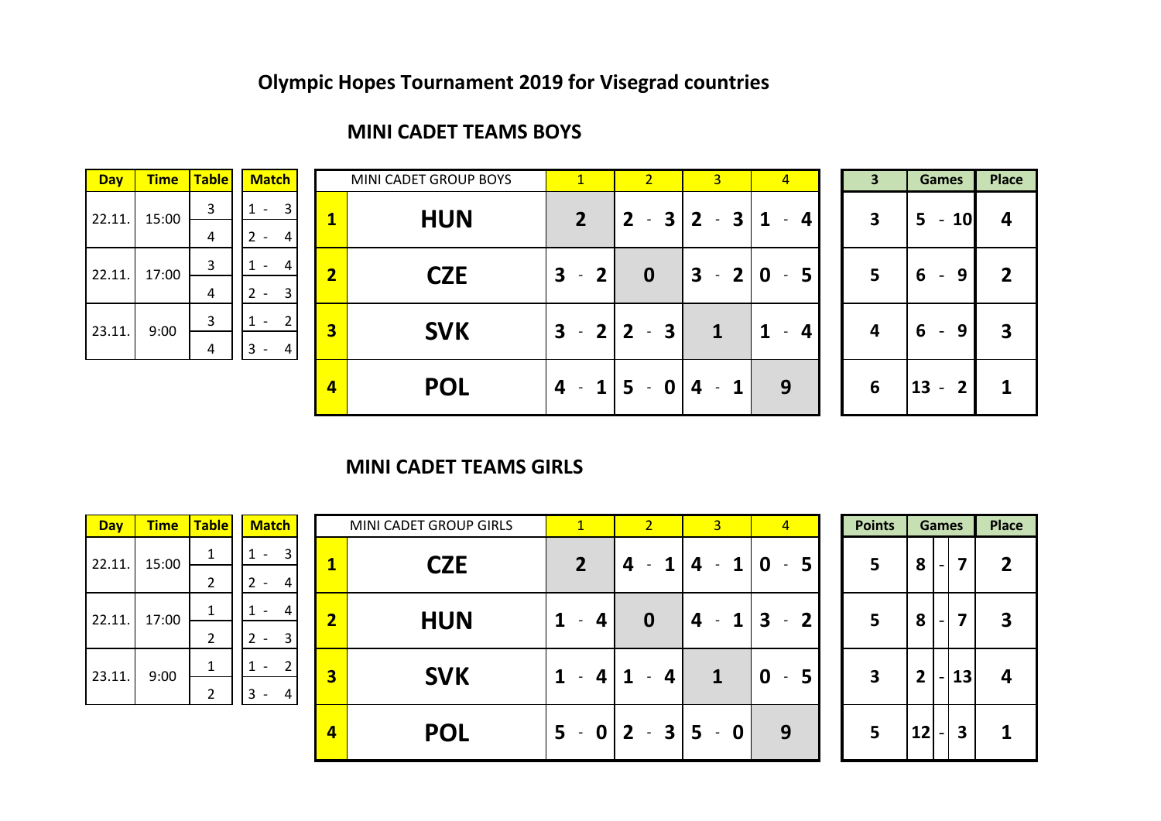#### **MINI CADET TEAMS BOYS**

| <b>MINI CADET GROUP</b> |                         | <b>Match</b>   | <b>Table</b> | <b>Time</b> | <b>Day</b> |
|-------------------------|-------------------------|----------------|--------------|-------------|------------|
| <b>HUN</b>              | 1                       | 3              | 3            | 15:00       | 22.11.     |
|                         |                         | 2<br>4         | 4            |             |            |
| <b>CZE</b>              | $\overline{\mathbf{2}}$ | Δ              | 3            | 17:00       | 22.11.     |
|                         |                         | 3<br>2         | 4            |             |            |
| <b>SVK</b>              | 3                       | $\mathfrak{p}$ | 3            | 9:00        | 23.11.     |
|                         |                         |                | 4            |             |            |

| <b>Day</b> | <b>Time</b> | <b>Table</b> | <b>Match</b>                                      |                         | MINI CADET GROUP BOYS | $\vert$ 1      | $\overline{2}$                            | 3 <sup>1</sup>                                 | $\overline{4}$ | 3                       | <b>Games</b>                               | Place |
|------------|-------------|--------------|---------------------------------------------------|-------------------------|-----------------------|----------------|-------------------------------------------|------------------------------------------------|----------------|-------------------------|--------------------------------------------|-------|
| 22.11.     | 15:00       | 3            | $\overline{3}$<br>$\overline{\phantom{0}}$        |                         | <b>HUN</b>            | $\overline{2}$ | $\overline{\mathbf{3}}$<br>$2^{\circ}$    | 3 <sup>1</sup><br>$\overline{2}$<br>$\sim$ $-$ | 1<br>4         | $\overline{\mathbf{3}}$ | <b>10</b><br>5<br>$\overline{\phantom{a}}$ | 4     |
|            |             | 4            | $\overline{2}$<br>4 I<br>$\overline{\phantom{a}}$ |                         |                       |                |                                           |                                                |                |                         |                                            |       |
| 22.11.     | 17:00       | 3            | $\sim$                                            | $\overline{\mathbf{c}}$ | <b>CZE</b>            | $3 - 2$        | $\mathbf 0$                               | 3                                              | $-2 0-5 $      | 5                       | 6<br>9<br>$\sim$                           | 2     |
|            |             | 4            | 3 <sup>1</sup><br>$2 -$                           |                         |                       |                |                                           |                                                |                |                         |                                            |       |
| 23.11.     | 9:00        | 3            | 2 <sup>1</sup><br>$\overline{\phantom{a}}$        | $\overline{\mathbf{3}}$ | <b>SVK</b>            | $3 - 2$        | $\overline{\mathbf{3}}$<br>$\overline{2}$ | 1                                              |                | $\overline{a}$          | 9                                          | 3     |
|            |             | 4            | 3<br>4 I<br>$\overline{\phantom{a}}$              |                         |                       |                | $\sim$                                    |                                                |                |                         | 6<br>$\blacksquare$                        |       |
|            |             |              |                                                   | $\overline{4}$          | <b>POL</b>            | $4 - 115$      | $\mathbf 0$<br>$\sim$                     | 4                                              | 9              | 6                       | $13 - 2$                                   |       |
|            |             |              |                                                   |                         |                       |                |                                           |                                                |                |                         |                                            |       |

#### **MINI CADET TEAMS GIRLS**

| <b>Day</b> | <b>Time</b> | <b>Table</b> | <b>Match</b>                                 |                         | MINI CADET GROUP GIRLS | $\mathbf{1}$   | $\overline{2}$         | $\overline{3}$                                  | $\overline{4}$                           | <b>Points</b> |              | <b>Games</b> | <b>Place</b> |
|------------|-------------|--------------|----------------------------------------------|-------------------------|------------------------|----------------|------------------------|-------------------------------------------------|------------------------------------------|---------------|--------------|--------------|--------------|
| 22.11.     | 15:00       |              | $\vert$ 3<br>$\sim$                          |                         | <b>CZE</b>             | $\overline{2}$ |                        | $\mathbf 1$                                     | 5.<br>0                                  | 5             | 8            | - 1          | 2            |
|            |             |              | $\vert$ 4<br>$\overline{\phantom{0}}$        |                         |                        |                |                        |                                                 |                                          |               |              |              |              |
| 22.11.     | 17:00       |              | $\vert$<br>$\sim$                            | $\overline{\mathbf{2}}$ | <b>HUN</b>             | 4              | 0                      | 1 <sup>1</sup><br>4<br>$\overline{\phantom{a}}$ | $\mathbf{3}$<br>$\overline{2}$<br>$\sim$ | 5             | 8            | - 1          | 3            |
|            |             | <sup>-</sup> | 3<br>ຳ<br>$\overline{\phantom{a}}$           |                         |                        |                |                        |                                                 |                                          |               |              |              |              |
| 23.11.     | 9:00        |              | 2<br>$\overline{\phantom{a}}$                | $\overline{\mathbf{3}}$ | <b>SVK</b>             | 4              | Д                      | 1                                               | 5<br>0                                   | 3             | $\mathbf{2}$ | 13           | 4            |
|            |             | ำ            | l 3<br>$\vert$ 4<br>$\overline{\phantom{a}}$ |                         |                        |                |                        |                                                 |                                          |               |              |              |              |
|            |             |              |                                              | $\overline{4}$          | <b>POL</b>             |                | $5 - 0$   2 - 3  5 - 0 |                                                 | 9                                        | 5             | 12           | 3            |              |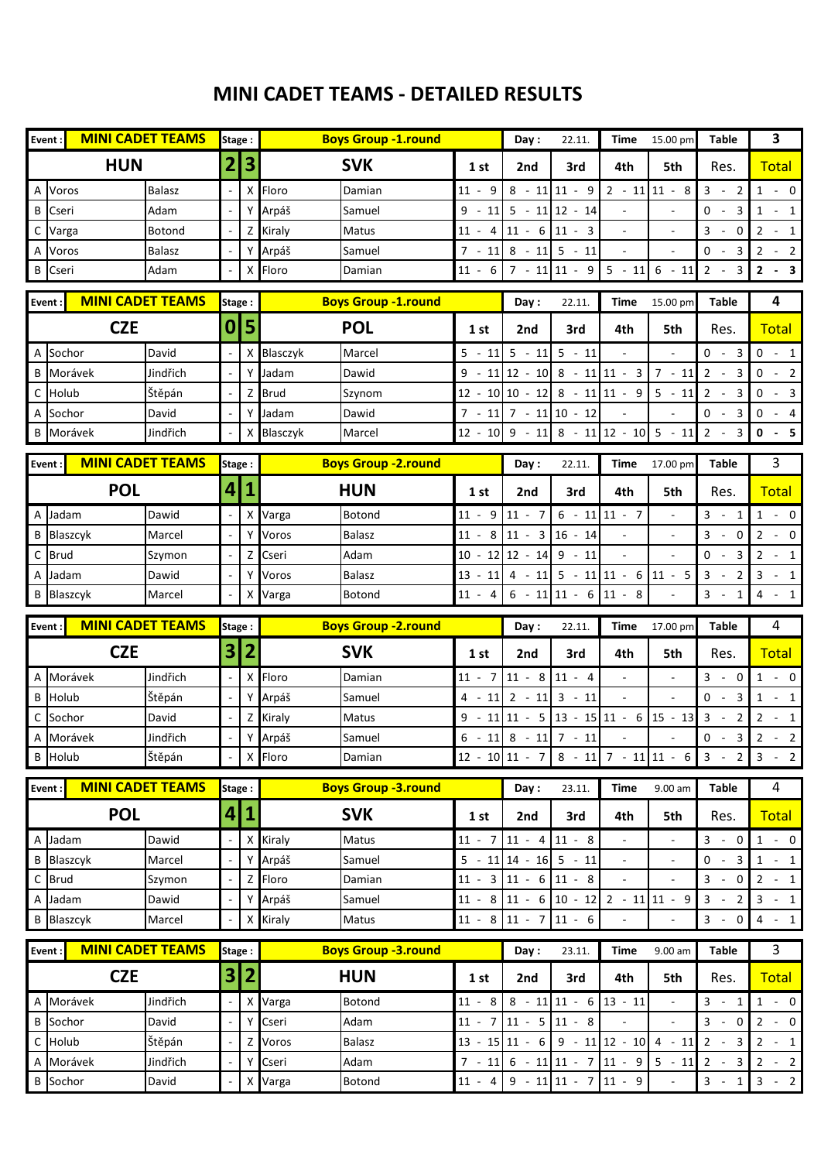#### **MINI CADET TEAMS - DETAILED RESULTS**

|              | <b>MINI CADET TEAMS</b><br>Event:                 | Stage: |                | <b>Boys Group -1.round</b>       |                   | Day:                              | 22.11.                                                         | Time                     | 15.00 pm                 | <b>Table</b>                                                                | 3                                                                                                                                                                             |
|--------------|---------------------------------------------------|--------|----------------|----------------------------------|-------------------|-----------------------------------|----------------------------------------------------------------|--------------------------|--------------------------|-----------------------------------------------------------------------------|-------------------------------------------------------------------------------------------------------------------------------------------------------------------------------|
|              | <b>HUN</b>                                        | 2      | 3              | <b>SVK</b>                       | 1 st              | 2nd                               | 3rd                                                            | 4th                      | 5th                      | Res.                                                                        | <b>Total</b>                                                                                                                                                                  |
| Α            | Voros<br><b>Balasz</b>                            |        | X              | Floro<br>Damian                  | $11 -$<br>9       |                                   | $8 - 11$ 11 - 9                                                |                          | $2 - 11$ 11 - 8          | $3 -$<br>2                                                                  | $1 - 0$                                                                                                                                                                       |
| В            | Adam<br>Cseri                                     |        | Y              | Arpáš<br>Samuel                  | $9 -$<br>11       |                                   | $5 - 11$ 12 - 14                                               |                          |                          | $0 -$<br>$\overline{\mathbf{3}}$                                            | $1 - 1$                                                                                                                                                                       |
| C            | Varga<br><b>Botond</b>                            |        | Z              | Kiraly<br>Matus                  |                   | $11 - 4 \mid 11 - 6 \mid 11 - 3$  |                                                                |                          |                          | $3 - 0$                                                                     | $2 - 1$                                                                                                                                                                       |
| A            | Voros<br><b>Balasz</b>                            |        |                | Arpáš<br>Samuel                  | $7 - 11$          | $8 - 11$ 5 - 11                   |                                                                | $\blacksquare$           | $\blacksquare$           | $0 -$<br>3                                                                  | $2 - 2$                                                                                                                                                                       |
| B            | Adam<br>Cseri                                     |        | X              | Floro<br>Damian                  | $11 -$<br>- 6     |                                   | $7 - 11$ 11 - 9                                                | $5 - 11$                 | $6 - 11$                 | $2 -$<br>3                                                                  | $2 - 3$                                                                                                                                                                       |
| Event        | <b>MINI CADET TEAMS</b>                           | Stage: |                | <b>Boys Group -1.round</b>       |                   | Day:                              | 22.11.                                                         | Time                     | 15.00 pm                 | Table                                                                       | 4                                                                                                                                                                             |
|              | <b>CZE</b>                                        | 0      | 5              | <b>POL</b>                       | 1 st              | 2nd                               | 3rd                                                            | 4th                      | 5th                      | Res.                                                                        | <b>Total</b>                                                                                                                                                                  |
|              | A Sochor<br>David                                 |        | X              | Blasczyk<br>Marcel               | 5<br>11<br>$\sim$ | $5 - 11$                          | $5 - 11$                                                       |                          |                          | $0 -$<br>3                                                                  | 0<br>$-1$                                                                                                                                                                     |
| B            | Morávek<br>Jindřich                               |        |                | Jadam<br>Dawid                   | $9 -$             |                                   | $11 \mid 12 - 10 \mid 8 - 11 \mid 11 - 3$                      |                          | $7 - 11$                 | $2 -$<br>3                                                                  | $0 - 2$                                                                                                                                                                       |
|              | C Holub<br>Štěpán                                 |        | Z              | <b>Brud</b><br>Szynom            |                   |                                   | $12 - 10 \mid 10 - 12 \mid 8 - 11 \mid 11 - 9 \mid$            |                          | $5 - 11$                 | $\overline{2}$<br>$\overline{\mathbf{3}}$                                   | 0<br>$-3$                                                                                                                                                                     |
|              | A Sochor<br>David                                 |        | Y              | Jadam<br>Dawid                   | $7 - 11$          | $7 - 11$ 10 - 12                  |                                                                |                          |                          | $0 -$<br>$\overline{\mathbf{3}}$                                            | 0<br>$-4$                                                                                                                                                                     |
|              | <b>B</b> Morávek<br>Jindřich                      |        | X              | Blasczyk<br>Marcel               | $12 - 10$         |                                   | $9 - 118 - 11112 - 105 - 11$                                   |                          |                          | $2 -$<br>3                                                                  | $0 - 5$                                                                                                                                                                       |
| Event:       | <b>MINI CADET TEAMS</b>                           | Stage: |                | <b>Boys Group - 2.round</b>      |                   | Day:                              | 22.11.                                                         | Time                     | 17.00 pm                 | Table                                                                       | 3                                                                                                                                                                             |
|              | <b>POL</b>                                        | 4      | 1              | <b>HUN</b>                       | 1st               | 2nd                               | 3rd                                                            | 4th                      | 5th                      | Res.                                                                        | <b>Total</b>                                                                                                                                                                  |
|              | Dawid<br>A Jadam                                  |        | X              | Botond<br>Varga                  | $11 -$<br>9       | $11 - 7$                          |                                                                | $6 - 11$ 11 - 7          |                          | $3 -$<br>1                                                                  | $1 - 0$                                                                                                                                                                       |
|              | <b>B</b> Blaszcyk<br>Marcel                       |        | Y              | Voros<br><b>Balasz</b>           | $11 -$<br>8       | $11 - 3 16 - 14$                  |                                                                |                          |                          | $3 -$<br>0                                                                  | $2 - 0$                                                                                                                                                                       |
| $\mathsf{C}$ | <b>Brud</b><br>Szymon                             |        | Z              | Cseri<br>Adam                    |                   | $10 - 12$ 12 - 14                 | $9 - 11$                                                       | $\overline{\phantom{a}}$ |                          | $0 -$<br>3                                                                  | $\mathbf{2}$<br>$-1$                                                                                                                                                          |
|              | A Jadam<br>Dawid                                  |        | Y              | Voros<br><b>Balasz</b>           |                   |                                   | $13 - 11$ 4 - 11 5 - 11 11 - 6 11 - 5                          |                          |                          | $\mathbf{3}$<br>$\overline{2}$                                              | 3<br>$-1$                                                                                                                                                                     |
|              | <b>B</b> Blaszcyk<br>Marcel                       |        | X              | Varga<br>Botond                  | $11 - 4$          | $6 - 11$ 11 -                     | 6                                                              | $11 - 8$                 |                          | $3 -$<br>$\mathbf{1}$                                                       | $4 - 1$                                                                                                                                                                       |
| Event        | <b>MINI CADET TEAMS</b>                           | Stage: |                | <b>Boys Group -2.round</b>       |                   | Day:                              | 22.11.                                                         | Time                     | 17.00 pm                 | <b>Table</b>                                                                | 4                                                                                                                                                                             |
|              |                                                   |        |                |                                  |                   |                                   |                                                                |                          |                          |                                                                             |                                                                                                                                                                               |
|              | <b>CZE</b>                                        | 3      | $\overline{2}$ | <b>SVK</b>                       | 1 st              | 2nd                               | 3rd                                                            | 4th                      | 5th                      | Res.                                                                        | <b>Total</b>                                                                                                                                                                  |
|              | A Morávek<br>Jindřich                             |        | х              | Floro<br>Damian                  | $11 - 7$          | $11 - 8$ 11 - 4                   |                                                                |                          |                          | $3 - 0$                                                                     |                                                                                                                                                                               |
|              | <b>B</b> Holub<br>Štěpán                          |        |                | Arpáš<br>Samuel                  | $4 - 11$          | $2 - 11 \overline{\smash)3 - 11}$ |                                                                | ÷,                       | $\blacksquare$           | $0 -$<br>3                                                                  | $1 - 0$<br>$1 - 1$                                                                                                                                                            |
|              | C Sochor<br>David                                 |        | Z              | Kiraly<br>Matus                  | 9<br>11           | 11                                | $-5$ 13 - 15 11 - 6                                            |                          | $15 - 13$                | $\mathbf{3}$<br>2<br>$\sim$                                                 |                                                                                                                                                                               |
|              | A Morávek<br>Jindřich                             |        |                | Arpáš<br>Samuel                  | $6 - 11$          | $8 - 11$ 7 - 11                   |                                                                |                          |                          | 0<br>3<br>$\sim$ $-$                                                        |                                                                                                                                                                               |
|              | Štěpán<br><b>B</b> Holub                          |        |                | X Floro<br>Damian                |                   |                                   |                                                                |                          |                          | $12 - 10 \mid 11 - 7 \mid 8 - 11 \mid 7 - 11 \mid 11 - 6 \mid 3 - 2 \mid 3$ | $2 - 1$<br>$2 - 2$<br>$-2$                                                                                                                                                    |
| Event:       | <b>MINI CADET TEAMS</b>                           | Stage: |                | <b>Boys Group -3.round</b>       |                   | Day:                              | 23.11.                                                         | <b>Time</b>              | 9.00 am                  | <b>Table</b>                                                                | $\overline{4}$                                                                                                                                                                |
|              | <b>POL</b>                                        | 4      | $\overline{1}$ | <b>SVK</b>                       | 1 st              | 2nd                               | 3rd                                                            | 4th                      | 5th                      | Res.                                                                        |                                                                                                                                                                               |
|              | A Jadam<br>Dawid                                  |        | X              | Kiraly<br>Matus                  | $11 - 7$          | $11 - 4 11 - 8$                   |                                                                |                          |                          | $3 - 0$                                                                     |                                                                                                                                                                               |
|              | <b>B</b> Blaszcyk<br>Marcel                       |        |                | Arpáš<br>Samuel                  |                   | $5 - 11$ 14 - 16 5 - 11           |                                                                | $\overline{\phantom{a}}$ |                          | $0 - 3$                                                                     |                                                                                                                                                                               |
|              | C Brud<br>Szymon                                  |        | Z              | Floro<br>Damian                  |                   | $11 - 3 \mid 11 - 6 \mid 11 - 8$  |                                                                | $\overline{\phantom{a}}$ | $\blacksquare$           | $3 -$<br>$\mathbf 0$                                                        |                                                                                                                                                                               |
|              | A Jadam<br>Dawid                                  |        | Υ              | Arpáš<br>Samuel                  |                   |                                   | $11 - 8 \mid 11 - 6 \mid 10 - 12 \mid 2 - 11 \mid 11 - 9$      |                          |                          | $3 - 2$                                                                     |                                                                                                                                                                               |
|              | <b>B</b> Blaszcyk<br>Marcel                       |        | Χ              | Kiraly<br>Matus                  |                   | $11 - 8 \mid 11 - 7 \mid 11 - 6$  |                                                                | $\overline{\phantom{a}}$ | $\overline{\phantom{a}}$ | $3 -$<br>$\mathbf 0$                                                        |                                                                                                                                                                               |
| Event:       | <b>MINI CADET TEAMS</b>                           | Stage: |                | <b>Boys Group -3.round</b>       |                   | Day:                              | 23.11.                                                         | <b>Time</b>              | 9.00 am                  | <b>Table</b>                                                                | $\mathbf{3}$                                                                                                                                                                  |
|              | <b>CZE</b>                                        | 3      | $\overline{2}$ | <b>HUN</b>                       | 1st               | 2nd                               | 3rd                                                            | 4th                      | 5th                      | Res.                                                                        |                                                                                                                                                                               |
|              | A Morávek<br>Jindřich                             |        | X              | Varga<br>Botond                  | $11 - 8$          |                                   | $8 - 11$ 11 - 6                                                | $ 13 - 11 $              |                          | $3 - 1$                                                                     |                                                                                                                                                                               |
|              | <b>B</b> Sochor<br>David                          |        | Y              | Cseri<br>Adam                    |                   | $11 - 7$ 11 - 5 11 - 8            |                                                                |                          |                          | $3 - 0$                                                                     |                                                                                                                                                                               |
|              | C Holub<br>Štěpán                                 |        | Z              | Voros<br>Balasz                  |                   |                                   | $13 - 15 \mid 11 - 6 \mid 9 - 11 \mid 12 - 10 \mid 4 - 11$     |                          |                          | $2 - 3$                                                                     |                                                                                                                                                                               |
|              | A Morávek<br>Jindřich<br><b>B</b> Sochor<br>David |        | Υ<br>X         | Cseri<br>Adam<br>Varga<br>Botond | $11 - 4$          |                                   | $7 - 11$ 6 - 11 11 - 7 11 - 9 5 - 11<br>$9 - 11$ 11 - 7 11 - 9 |                          |                          | $2 -$<br>3<br>$3 - 1$                                                       | <b>Total</b><br>$\begin{array}{ccc} 1 & - & 0 \end{array}$<br>$1 - 1$<br>$2 - 1$<br>$3 - 1$<br>$4 - 1$<br><b>Total</b><br>$1 - 0$<br>$2 - 0$<br>$2 - 1$<br>$2 - 2$<br>$3 - 2$ |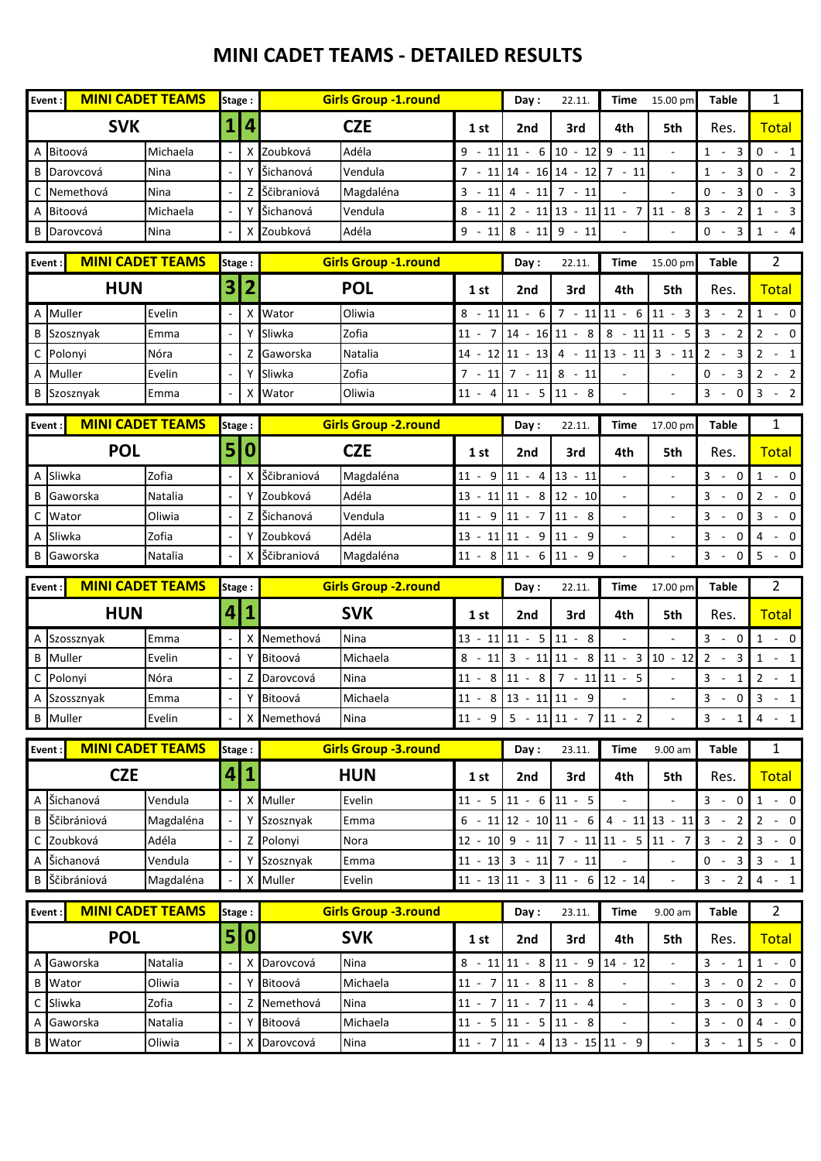#### **MINI CADET TEAMS - DETAILED RESULTS**

|        | <b>MINI CADET TEAMS</b><br>Event: |           | Stage:       |                | <b>Girls Group -1.round</b> |                             |                          | Day:                                                               | 22.11.          | Time                     | 15.00 pm                              | <b>Table</b>                                              | 1                                                                                                                                                              |
|--------|-----------------------------------|-----------|--------------|----------------|-----------------------------|-----------------------------|--------------------------|--------------------------------------------------------------------|-----------------|--------------------------|---------------------------------------|-----------------------------------------------------------|----------------------------------------------------------------------------------------------------------------------------------------------------------------|
|        | <b>SVK</b>                        |           |              | 4              |                             | <b>CZE</b>                  | 1st                      | 2nd                                                                | 3rd             | 4th                      | 5th                                   | Res.                                                      | <b>Total</b>                                                                                                                                                   |
| A      | Bitoová                           | Michaela  |              |                | Zoubková                    | Adéla                       | $9 -$<br>11              | $11 - 6$                                                           | $ 10 - 12 $     | $9 - 11$                 |                                       | $1 -$<br>3                                                | $0 - 1$                                                                                                                                                        |
|        | <b>B</b> Darovcová                | Nina      |              | Y              | Šichanová                   | Vendula                     |                          | $7 - 11$ 14 - 16 14 - 12                                           |                 | $7 - 11$                 |                                       | $\mathbf{1}$<br>$\mathbf{3}$<br>$\sim$                    | $\mathbf 0$<br>$-2$                                                                                                                                            |
| C      | Nemethová                         | Nina      |              | Z              | Ščibraniová                 | Magdaléna                   | $3 - 11$                 | $4 - 11$ 7 - 11                                                    |                 |                          |                                       | $0 -$<br>$\overline{3}$                                   | $0 - 3$                                                                                                                                                        |
|        | A Bitoová                         | Michaela  |              | Y              | Šichanová                   | Vendula                     |                          | $8 - 11 \overline{)2 - 11 \overline{)13 - 11 \overline{)11 - 7}}$  |                 |                          | $11 - 8$                              | $3 -$<br>$\overline{2}$                                   | $1 - 3$                                                                                                                                                        |
|        | <b>B</b> Darovcová                | Nina      |              |                | X Zoubková                  | Adéla                       | $9 -$<br>11              | $8 - 119 - 11$                                                     |                 |                          |                                       | $0 -$<br>$\overline{3}$                                   | $-4$<br>$\mathbf{1}$                                                                                                                                           |
| Event: | <b>MINI CADET TEAMS</b>           |           | Stage:       |                |                             | <b>Girls Group -1.round</b> |                          | Day:                                                               | 22.11.          | Time                     | 15.00 pm                              | <b>Table</b>                                              | $\overline{2}$                                                                                                                                                 |
|        | <b>HUN</b>                        |           | 3            | $\overline{2}$ |                             | <b>POL</b>                  | 1st                      | 2nd                                                                | 3rd             | 4th                      | 5th                                   | Res.                                                      | <b>Total</b>                                                                                                                                                   |
|        | A Muller                          | Evelin    |              | X              | Wator                       | Oliwia                      |                          | $8 - 11$ 11 - 6                                                    |                 | $7 - 11$ 11 - 6          | $11 - 3$                              | $\mathbf{3}$<br>$\overline{2}$<br>$\sim$                  | $1 - 0$                                                                                                                                                        |
|        | <b>B</b> Szosznyak                | Emma      |              |                | Sliwka                      | Zofia                       | $11 -$<br>$\overline{7}$ | $14 - 16$ 11 - 8                                                   |                 |                          | $8 - 11$ 11 - 5                       | $3 -$<br>2                                                | $2 - 0$                                                                                                                                                        |
|        | C Polonyi                         | Nóra      |              | Z              | Gaworska                    | Natalia                     |                          | $14 - 12$ 11 - 13                                                  |                 |                          | $4 - 11$ 13 - 11 3 - 11               | $2 -$<br>$\mathbf{3}$                                     | $\overline{2}$<br>$-1$                                                                                                                                         |
|        | A Muller                          | Evelin    |              | Y              | Sliwka                      | Zofia                       |                          | $7 - 11$ 7 - 11 8 - 11                                             |                 |                          |                                       | $0 -$<br>$\overline{\mathbf{3}}$                          | $2 - 2$                                                                                                                                                        |
|        | <b>B</b> Szosznyak                | Emma      |              | x              | Wator                       | Oliwia                      | $11 - 4$                 | $11 - 5$ 11 - 8                                                    |                 | ÷,                       | $\overline{\phantom{a}}$              | $3 -$<br>0                                                | $3 - 2$                                                                                                                                                        |
| Event: | <b>MINI CADET TEAMS</b>           |           | Stage:       |                |                             | <b>Girls Group -2.round</b> |                          | Day:                                                               | 22.11.          | Time                     | 17.00 pm                              | Table                                                     | $\mathbf{1}$                                                                                                                                                   |
|        | <b>POL</b>                        |           | $\mathsf{S}$ | 0              |                             | <b>CZE</b>                  | 1st                      | 2nd                                                                | 3rd             | 4th                      | 5th                                   | Res.                                                      | <b>Total</b>                                                                                                                                                   |
|        | A Sliwka                          | Zofia     |              | X              | Ščibraniová                 | Magdaléna                   | $11 -$<br>9              | $11 - 4$                                                           | $13 - 11$       | $\overline{\phantom{a}}$ |                                       | $3 -$<br>0                                                | $1 - 0$                                                                                                                                                        |
| B      | Gaworska                          | Natalia   |              | Y              | Zoubková                    | Adéla                       | $13 - 11$ 11 - 8         |                                                                    | $12 - 10$       | $\blacksquare$           | $\sim$                                | $\mathbf{3}$<br>$\mathbf 0$<br>$\sim$                     | $2 - 0$                                                                                                                                                        |
| C      | Wator                             | Oliwia    |              | Z              | Šichanová                   | Vendula                     | 9<br>$11 -$              | $11 -$<br>7                                                        | $11 - 8$        | $\overline{\phantom{a}}$ |                                       | $\overline{3}$<br>$\mathbf 0$<br>$\overline{\phantom{a}}$ | $3 - 0$                                                                                                                                                        |
|        | A Sliwka                          | Zofia     |              |                | Y Zoubková                  | Adéla                       | $13 - 11$ 11 - 9         |                                                                    | $11 - 9$        | $\overline{\phantom{a}}$ | $\bar{a}$                             | 3<br>$\mathbf 0$                                          | 4<br>$- 0$                                                                                                                                                     |
| B      | Gaworska                          | Natalia   |              | X              | Ščibraniová                 | Magdaléna                   | $11 - 8$                 | $11 - 6$                                                           | $11 - 9$        |                          |                                       | $3 - 0$                                                   | $5 - 0$                                                                                                                                                        |
| Event: | <b>MINI CADET TEAMS</b>           |           | Stage:       |                |                             | <b>Girls Group -2.round</b> |                          | Day:                                                               | 22.11.          | Time                     | 17.00 pm                              | <b>Table</b>                                              | $\overline{2}$                                                                                                                                                 |
|        | <b>HUN</b>                        |           | 4            | 1              |                             | <b>SVK</b>                  | 1st                      | 2nd                                                                | 3rd             | 4th                      | 5th                                   | Res.                                                      | <b>Total</b>                                                                                                                                                   |
|        | A Szossznyak                      | Emma      |              | X              | Nemethová                   | Nina                        |                          | $13 - 11$ 11 - 5 11 - 8                                            |                 | $\frac{1}{2}$            |                                       | $3 - 0$                                                   | $1 - 0$                                                                                                                                                        |
|        | <b>B</b> Muller                   | Evelin    |              | Υ              | Bitoová                     | Michaela                    | $8 - 11$                 | $3 - 11$ 11 - 8                                                    |                 | $11 - 3$                 | $10 - 12$                             | $2 -$<br>$\overline{\mathbf{3}}$                          | $1 - 1$                                                                                                                                                        |
|        | C Polonyi                         | Nóra      |              | Z              | Darovcová                   | Nina                        | 8<br>$11 -$              | $11 - 8$                                                           | $7 - 11$ 11 - 5 |                          |                                       | $3 -$<br>1                                                | $2 - 1$                                                                                                                                                        |
|        | A Szossznyak                      | Emma      |              |                | Bitoová                     | Michaela                    |                          | $11 - 8 \mid 13 - 11 \mid 11 - 9$                                  |                 |                          | ÷,                                    | $3 -$<br>$\mathbf 0$                                      | $3 - 1$                                                                                                                                                        |
|        | <b>B</b> Muller                   | Evelin    |              |                | X Nemethová                 | Nina                        |                          | $11 - 9$ 5 - 11 11 - 7 11 - 2                                      |                 |                          | $\Box$                                | $3 - 1$                                                   | 4<br>$-1$                                                                                                                                                      |
| Event: | <b>MINI CADET TEAMS</b>           |           | Stage:       |                |                             | <b>Girls Group -3.round</b> |                          | Day:                                                               | 23.11.          | <b>Time</b>              | $9.00$ am                             | <b>Table</b>                                              | $\mathbf{1}$                                                                                                                                                   |
|        | <b>CZE</b>                        |           | 4            | $\mathbf{1}$   |                             | <b>HUN</b>                  | 1st                      | 2nd                                                                | 3rd             | 4th                      | 5th                                   | Res.                                                      | <b>Total</b>                                                                                                                                                   |
|        |                                   |           |              |                |                             |                             |                          |                                                                    |                 |                          |                                       |                                                           |                                                                                                                                                                |
|        | A Šichanová                       | Vendula   |              |                | X Muller                    | Evelin                      | $11 - 5$                 | $11 - 6$ 11 - 5                                                    |                 |                          |                                       | $3 - 0$                                                   |                                                                                                                                                                |
|        | <b>B</b> Ščibrániová              | Magdaléna |              | Υ              | Szosznyak                   | Emma                        |                          | $6 - 11$ 12 - 10 11 - 6                                            |                 |                          | $4 - 11$ 13 - 11                      | $3 - 2$                                                   |                                                                                                                                                                |
|        | C Zoubková                        | Adéla     |              | Z              | Polonyi                     | Nora                        |                          |                                                                    |                 |                          | $12 - 10$ 9 - 11 7 - 11 11 - 5 11 - 7 | $3 -$<br>$\overline{2}$                                   |                                                                                                                                                                |
|        | A Šichanová                       | Vendula   |              | Y              | Szosznyak                   | Emma                        |                          | $11 - 13$ 3 - 11 7 - 11                                            |                 |                          |                                       | $0 -$<br>$\overline{\mathbf{3}}$                          |                                                                                                                                                                |
|        | <b>B</b> Ščibrániová              | Magdaléna |              |                | X Muller                    | Evelin                      |                          | $11 - 13 \mid 11 - 3 \mid 11 - 6 \mid 12 - 14 \mid$                |                 |                          | $\blacksquare$                        | $3 -$<br>$\overline{2}$                                   |                                                                                                                                                                |
| Event: | <b>MINI CADET TEAMS</b>           |           | Stage:       |                |                             | <b>Girls Group -3.round</b> |                          | Day:                                                               | 23.11.          | <b>Time</b>              | 9.00 am                               | <b>Table</b>                                              | $\overline{2}$                                                                                                                                                 |
|        | <b>POL</b>                        |           | 5            | 0              |                             | <b>SVK</b>                  | 1st                      | 2nd                                                                | 3rd             | 4th                      | 5th                                   | Res.                                                      |                                                                                                                                                                |
|        | A Gaworska                        | Natalia   |              |                | Darovcová                   | Nina                        |                          | $8 - 11$ 11 - 8 11 - 9                                             |                 | $14 - 12$                | $\blacksquare$                        | $3 -$<br>1                                                |                                                                                                                                                                |
|        | <b>B</b> Wator                    | Oliwia    |              | Y              | Bitoová                     | Michaela                    |                          | $11 - 7$ 11 - 8 11 - 8                                             |                 |                          | $\Box$                                | $3 - 1$<br>$\overline{0}$                                 |                                                                                                                                                                |
| C      | Sliwka                            | Zofia     |              | Z              | Nemethová                   | Nina                        | $11 - 7$                 | $11 - 7$ 11 - 4                                                    |                 | $\overline{\phantom{a}}$ | $\bar{a}$                             | $3 - 0$                                                   |                                                                                                                                                                |
|        | A Gaworska<br><b>B</b> Wator      | Natalia   |              | Y              | Bitoová                     | Michaela<br>Nina            |                          | $11 - 5 \mid 11 - 5 \mid 11 - 8$<br>$11 - 7$ 11 - 4 13 - 15 11 - 9 |                 | ÷,                       |                                       | $3 -$<br>$\mathbf 0$<br>$3 - 1$                           | $\begin{array}{cccc} 1 & - & 0 \end{array}$<br>$2 - 0$<br>$3 - 0$<br>$3 - 1$<br>$4 - 1$<br><b>Total</b><br>$1 - 0$<br>$2 - 0$<br>$3 - 0$<br>$4 - 0$<br>$5 - 0$ |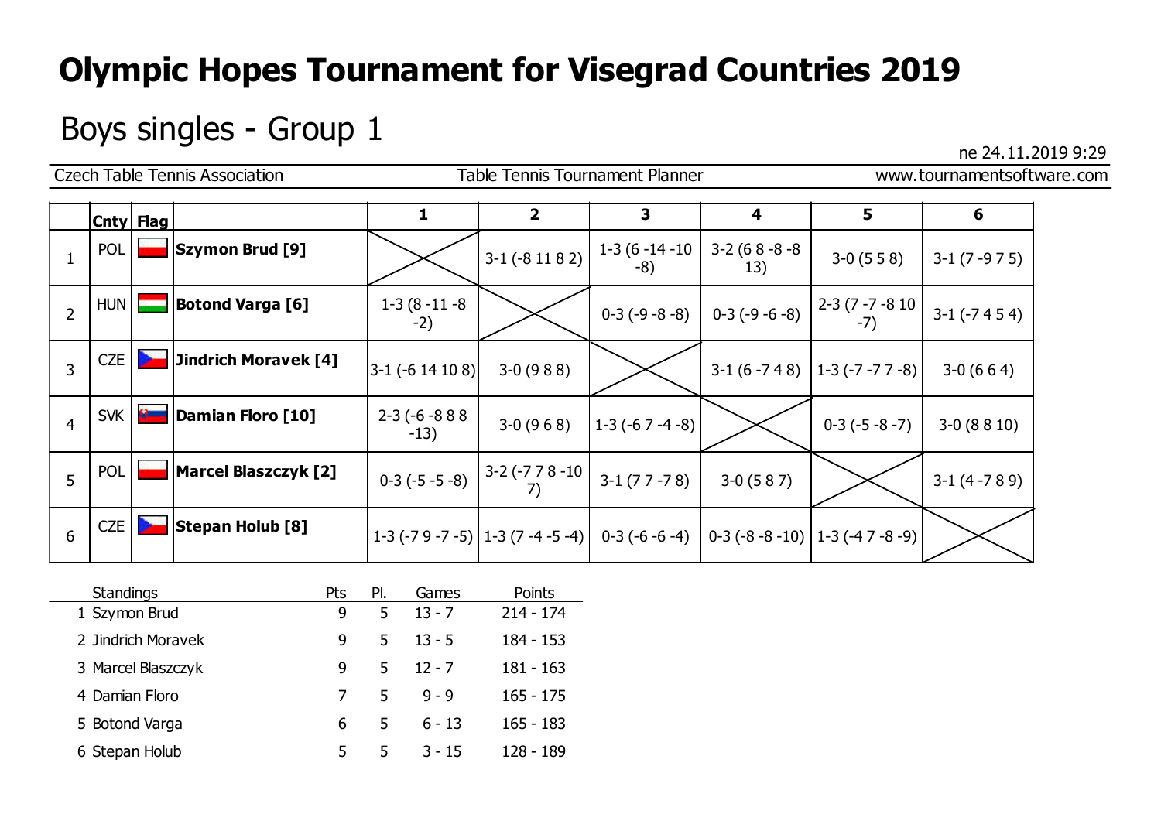## Boys singles - Group  $1$

|                |             | <b>Czech Table Tennis Association</b> |                            | <b>Table Tennis Tournament Planner</b> |                       |                      | www.tournamentsoftware.com                                                           |                   |  |  |
|----------------|-------------|---------------------------------------|----------------------------|----------------------------------------|-----------------------|----------------------|--------------------------------------------------------------------------------------|-------------------|--|--|
|                | Cnty   Flag |                                       | 1                          | $\overline{2}$                         | 3                     | 4                    | 5                                                                                    | 6                 |  |  |
|                | <b>POL</b>  | <b>Szymon Brud [9]</b>                |                            | $3-1$ ( $-8$ 11 8 2)                   | $1-3(6-14-10)$<br>-8) | $3-2(68-8-8)$<br>13) | $3-0(558)$                                                                           | $3-1(7-975)$      |  |  |
| $\overline{2}$ | HUN         | <b>Botond Varga [6]</b>               | $1-3(8-11-8)$<br>$-2)$     |                                        | $0-3(-9-8-8)$         | $0-3(-9-6-8)$        | $\begin{bmatrix} 2-3 & (7 - 7 - 8) & 10 \\ -7 & -7 \end{bmatrix}$                    | $3-1$ ( $-7454$ ) |  |  |
| 3              | CZE         | <b>Jindrich Moravek [4]</b>           | $ 3-1$ (-6 14 10 8)        | $3-0(988)$                             |                       | $3-1(6-748)$         | $ 1-3(-7-77-8) $                                                                     | $3-0(664)$        |  |  |
| $\overline{4}$ | SVK         | Damian Floro [10]                     | $2-3$ (-6 -8 8 8<br>$-13)$ | $3-0(968)$                             | $ 1-3(-67-4-8) $      |                      | $0-3(-5-8-7)$                                                                        | $3-0(8810)$       |  |  |
| 5              | <b>POL</b>  | <b>Marcel Blaszczyk [2]</b>           | $0-3(-5-5-8)$              | $3-2$ (-7 7 8 -10                      | $3-1(77-78)$          | $3-0(587)$           |                                                                                      | $3-1(4-789)$      |  |  |
| 6              | CZE         | <b>Stepan Holub [8]</b>               |                            |                                        |                       |                      | $1-3$ (-7 9 -7 -5) $ 1-3(7-4-5-4) $ 0-3 (-6 -6 -4) 0-3 (-8 -8 -10) $ 1-3( -47-8-9) $ |                   |  |  |

| <b>Standings</b>   | Pts | PI. | Games    | Points      |
|--------------------|-----|-----|----------|-------------|
| 1 Szymon Brud      | 9   | 5   | $13 - 7$ | $214 - 174$ |
| 2 Jindrich Moravek | 9   | 5   | $13 - 5$ | $184 - 153$ |
| 3 Marcel Blaszczyk | 9   | 5.  | $12 - 7$ | $181 - 163$ |
| 4 Damian Floro     |     | 5.  | $9 - 9$  | $165 - 175$ |
| 5 Botond Varga     | 6   | 5   | $6 - 13$ | $165 - 183$ |
| 6 Stepan Holub     | 5.  | 5.  | $3 - 15$ | 128 - 189   |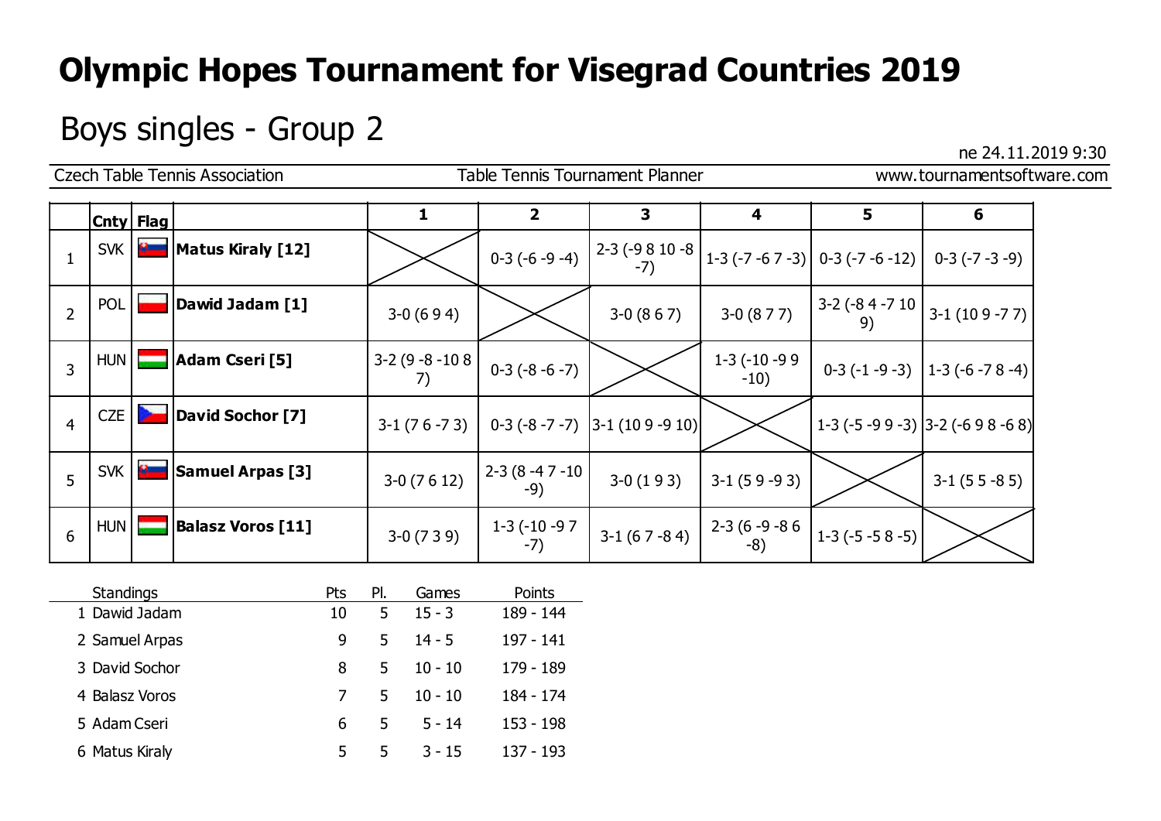## Boys singles - Group 2  $\frac{1}{2}$  ne 24.11.2019 9:30

|                |             |                | <b>Czech Table Tennis Association</b> |                | Table Tennis Tournament Planner |                                      |                            | www.tournamentsoftware.com                                                       |                                                                                              |  |  |
|----------------|-------------|----------------|---------------------------------------|----------------|---------------------------------|--------------------------------------|----------------------------|----------------------------------------------------------------------------------|----------------------------------------------------------------------------------------------|--|--|
|                | Cnty   Flag |                |                                       | 1              | $\overline{2}$                  | 3                                    | 4                          | 5                                                                                | 6                                                                                            |  |  |
|                | SVK         |                | <b>Example 12   Matus Kiraly [12]</b> |                | $0-3(-6-9-4)$                   |                                      |                            | $2-3$ (-9 8 10 -8 $\Big  1-3$ (-7 -6 7 -3) 0-3 (-7 -6 -12) 0-3 (-7 -3 -9)        |                                                                                              |  |  |
| $\overline{2}$ | <b>POL</b>  |                | Dawid Jadam [1]                       | $3-0(694)$     |                                 | $3-0(867)$                           | $3-0(877)$                 |                                                                                  | $\begin{vmatrix} 3-2 & (-8 & 4 & -7 & 10 \\ 9 & 2 & 3 & 1 & (10 & 9 & -7 & 7) \end{vmatrix}$ |  |  |
| $\overline{3}$ |             |                | HUN <b>Adam Cseri</b> [5]             | $3-2(9-8-108)$ | $0-3(-8-6-7)$                   |                                      | $1-3$ ( $-10-99$<br>$-10)$ |                                                                                  | $0-3(-1-9-3)$   1-3 (-6 -7 8 -4)                                                             |  |  |
| $\overline{4}$ | <b>CZE</b>  | <b>Service</b> | David Sochor [7]                      | $3-1(76-73)$   |                                 | $0-3$ (-8 -7 -7) $ 3-1$ (10 9 -9 10) |                            |                                                                                  | $1-3$ (-5 -9 9 -3) 3-2 (-6 9 8 -6 8)                                                         |  |  |
| 5              | <b>SVK</b>  | $\mathbf{a}$   | <b>Samuel Arpas [3]</b>               | $3-0(7612)$    | $2-3(8-47-10)$<br>$-9)$         | $3-0(193)$                           | $3-1(59-93)$               |                                                                                  | $3-1(55-85)$                                                                                 |  |  |
| 6              |             | $HUN$ $\Box$   | <b>Balasz Voros [11]</b>              | $3-0(739)$     | $1-3$ (-10 -9 7<br>$-7)$        | $3-1(67-84)$                         |                            | $\begin{bmatrix} 2-3 & (6-9-8) & 6 \\ -8 & 2 & 1 \end{bmatrix}$ 1-3 (-5 -5 8 -5) |                                                                                              |  |  |

| <b>Standings</b> | Pts | PI. | Games     | Points    |
|------------------|-----|-----|-----------|-----------|
| 1 Dawid Jadam    | 10  | 5   | $15 - 3$  | 189 - 144 |
| 2 Samuel Arpas   | 9   | 5   | $14 - 5$  | 197 - 141 |
| 3 David Sochor   | 8   | 5   | $10 - 10$ | 179 - 189 |
| 4 Balasz Voros   |     | 5   | $10 - 10$ | 184 - 174 |
| 5 Adam Cseri     | 6   | 5   | $5 - 14$  | 153 - 198 |
| 6 Matus Kiraly   | 5   | 5   | $3 - 15$  | 137 - 193 |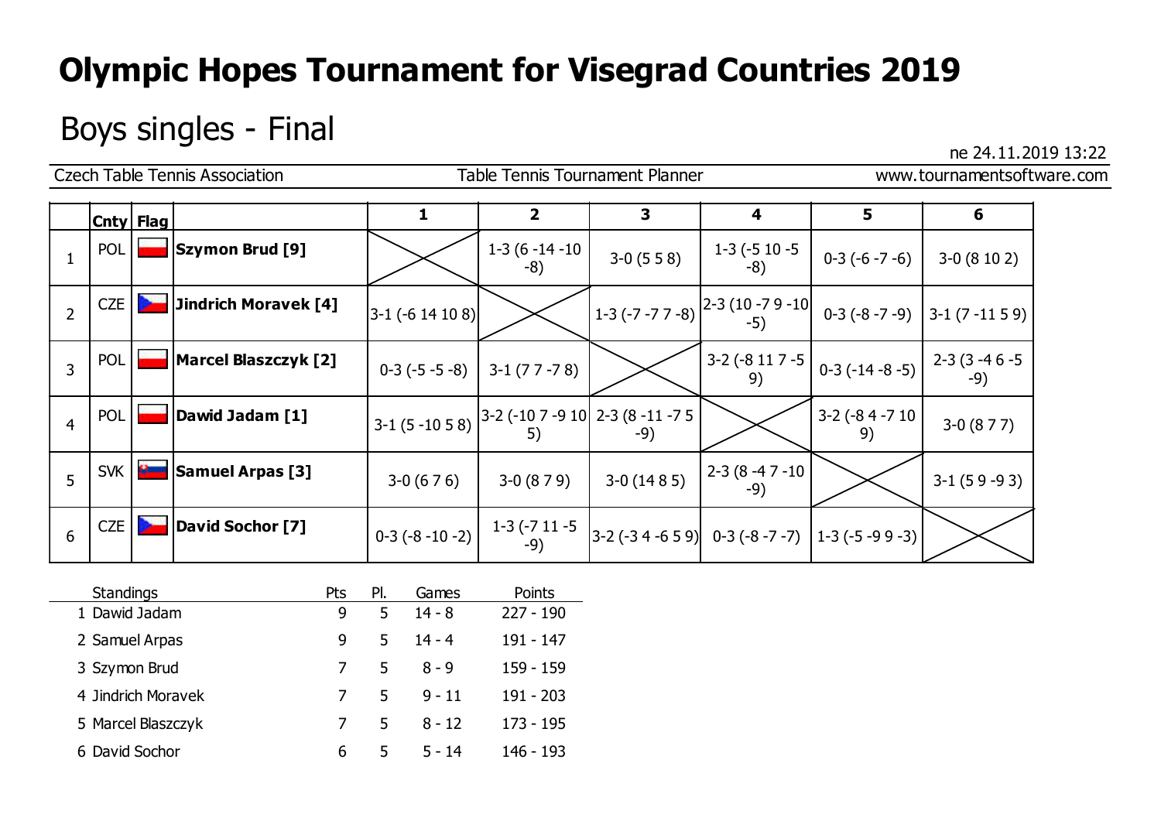# Boys singles - Final ne 24.11.2019 13:22

|                |            |                | <b>Czech Table Tennis Association</b> |                     | Table Tennis Tournament Planner                                                                                |                                                                                                                                                                                         |                                 | www.tournamentsoftware.com                                                                                                                                                               |              |  |  |
|----------------|------------|----------------|---------------------------------------|---------------------|----------------------------------------------------------------------------------------------------------------|-----------------------------------------------------------------------------------------------------------------------------------------------------------------------------------------|---------------------------------|------------------------------------------------------------------------------------------------------------------------------------------------------------------------------------------|--------------|--|--|
|                | Cnty Flag  |                |                                       | 1                   | $\overline{2}$                                                                                                 | 3                                                                                                                                                                                       | 4                               | 5                                                                                                                                                                                        | 6            |  |  |
|                | <b>POL</b> |                | Szymon Brud [9]                       |                     | $1-3(6-14-10)$<br>$-8)$                                                                                        | $3-0(558)$                                                                                                                                                                              | $1-3(-5)10-5$<br>-8)            | $0-3(-6-7-6)$                                                                                                                                                                            | $3-0(8102)$  |  |  |
| $\overline{2}$ | <b>CZE</b> |                | Jindrich Moravek [4]                  | $ 3-1$ (-6 14 10 8) |                                                                                                                | $\left  1-3 \left( -7 -7 7 -8 \right) \right $ $\left  \begin{matrix} 2-3 \left( 10 -7 9 -10 \right) & 0-3 \left( -8 -7 -9 \right) & 3-1 \left( 7 -11 5 9 \right) \end{matrix} \right $ |                                 |                                                                                                                                                                                          |              |  |  |
| $\overline{3}$ | <b>POL</b> |                | <b>Marcel Blaszczyk [2]</b>           | $0-3(-5-5-8)$       | $3-1(77-78)$                                                                                                   |                                                                                                                                                                                         |                                 | $\left[\begin{array}{cc c} 3-2 & -8 & 11 & 7 & -5 \\ 0 & 0 & 0 & 0 \end{array}\right]$ (14 -8 -5) $\left[\begin{array}{cc c} 2-3 & (3 & -4 & 6 & -5 \\ 0 & 0 & 0 & 0 \end{array}\right]$ | $-9)$        |  |  |
| $\overline{4}$ | POL        |                | Dawid Jadam [1]                       |                     | $\begin{vmatrix} 3-1 & (5-10 & 5 & 8) \ 3-2 & (-10 & 7 & -9 & 10) \ 5 & 5 & -9 \end{vmatrix}$ 2-3 (8 -11 -7 5) |                                                                                                                                                                                         |                                 | $3-2$ (-84 -710<br>9)                                                                                                                                                                    | $3-0(877)$   |  |  |
| 5              | <b>SVK</b> | $\mathbf{a}$   | <b>Samuel Arpas [3]</b>               | $3-0(676)$          | $3-0(879)$                                                                                                     | $3-0(1485)$                                                                                                                                                                             | $12 - 3 (8 - 47 - 10)$<br>$-9)$ |                                                                                                                                                                                          | $3-1(59-93)$ |  |  |
| 6              | <b>CZE</b> | <b>College</b> | David Sochor [7]                      | $0-3(-8-10-2)$      |                                                                                                                | $\begin{bmatrix} 1-3 & (-7 & 11 & -5 \\ -9 & 3 & -2 & (-3 & 4 & -6 & 5 & 9) \end{bmatrix}$ 0-3 (-8 -7 -7) 1-3 (-5 -9 9 -3)                                                              |                                 |                                                                                                                                                                                          |              |  |  |

| <b>Standings</b>   | Pts | PI. | Games    | Points      |
|--------------------|-----|-----|----------|-------------|
| 1 Dawid Jadam      | 9   | 5   | $14 - 8$ | $227 - 190$ |
| 2 Samuel Arpas     | 9   | 5   | $14 - 4$ | 191 - 147   |
| 3 Szymon Brud      |     | 5   | $8 - 9$  | 159 - 159   |
| 4 Jindrich Moravek |     | 5   | $9 - 11$ | $191 - 203$ |
| 5 Marcel Blaszczyk |     | 5   | $8 - 12$ | $173 - 195$ |
| 6 David Sochor     | 6   | 5   | $5 - 14$ | 146 - 193   |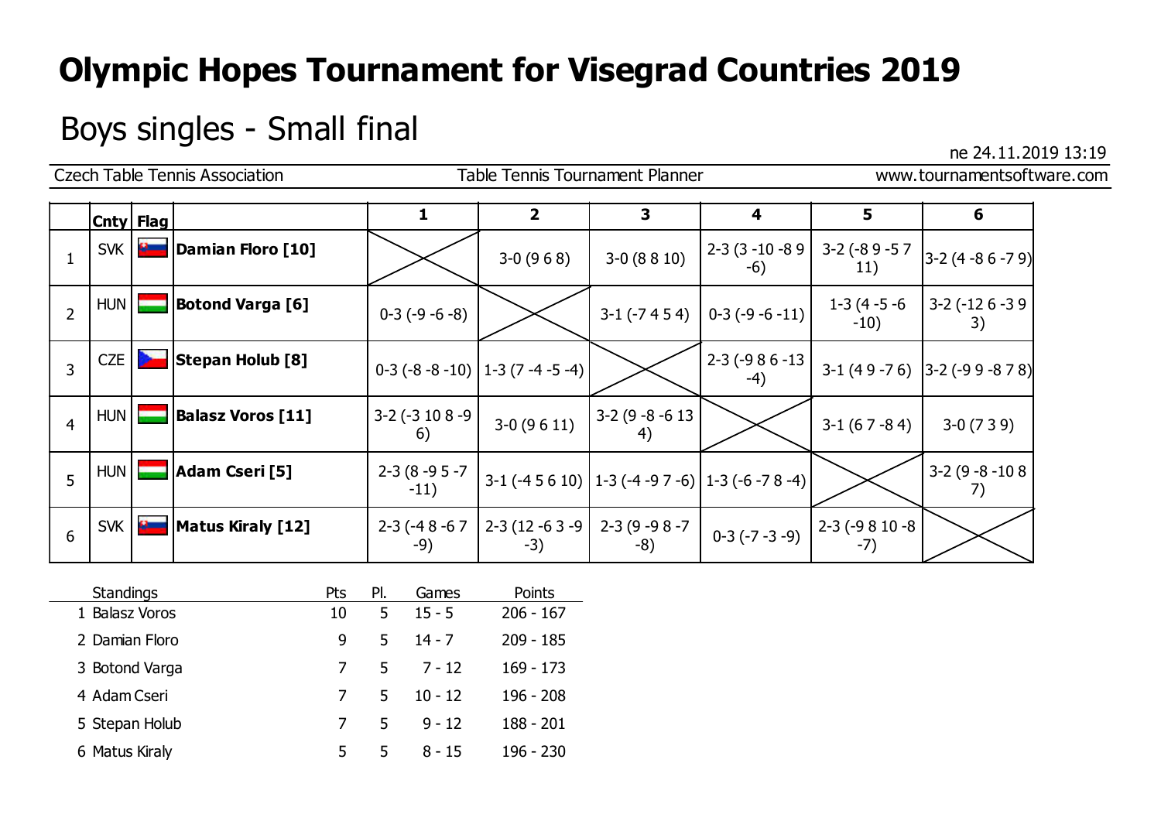## Boys singles - Small final ne 24.11.2019 13:19

|                |            |              | <b>Czech Table Tennis Association</b> |                              | Table Tennis Tournament Planner      |                                                       |                                                  | www.tournamentsoftware.com          |                                   |  |  |
|----------------|------------|--------------|---------------------------------------|------------------------------|--------------------------------------|-------------------------------------------------------|--------------------------------------------------|-------------------------------------|-----------------------------------|--|--|
|                |            | Cnty   Flag  |                                       | 1                            | $\overline{2}$                       | 3                                                     | 4                                                | 5                                   | 6                                 |  |  |
|                | SVK        |              | Damian Floro [10]                     |                              | $3-0(968)$                           | $3-0(8810)$                                           | $2 - 3 (3 - 10 - 89)$<br>$-6)$                   | $3-2$ (-8 9 -5 7<br>11)             | $\left 3 - 2(4 - 86 - 79)\right $ |  |  |
| $\overline{2}$ | HUN        |              | <b>Botond Varga [6]</b>               | $0-3(-9-6-8)$                |                                      |                                                       | $3-1$ (-7 4 5 4) $\vert$ 0-3 (-9 -6 -11) $\vert$ | 1-3 (4 -5 -6<br>$-10)$              | $3-2$ ( $-12$ 6 $-3$ 9<br>3)      |  |  |
| 3              | <b>CZE</b> |              | <b>Stepan Holub [8]</b>               |                              | $0-3$ (-8 -8 -10)   1-3 (7 -4 -5 -4) |                                                       | $2 - 3 (-986 - 13)$<br>$-4)$                     |                                     | $3-1$ (49 -76) 3-2 (-99 -878)     |  |  |
| $\overline{4}$ | HUN        |              | <b>Balasz Voros [11]</b>              | $3-2$ ( $-3$ 10 8 $-9$<br>6) | $3-0(9611)$                          | $3-2(9-8-613)$<br>4)                                  |                                                  | $3-1(67-84)$                        | $3-0(739)$                        |  |  |
| 5              | HUN        |              | Adam Cseri [5]                        | $2-3(8-95-7)$<br>$-11)$      |                                      | 3-1 (-4 5 6 10)   1-3 (-4 -9 7 -6)   1-3 (-6 -7 8 -4) |                                                  |                                     | $3-2(9-8-108)$<br>7)              |  |  |
| 6              | SVK        | $\mathbf{B}$ | Matus Kiraly [12]                     | $2 - 3 (-48 - 67)$<br>$-9)$  | 2-3 (12 -6 3 -9  <br>$-3)$           | 2-3 (9 - 9 8 - 7<br>$-8)$                             |                                                  | $0-3(-7-3-9)$ $2-3(-9810-8)$<br>-7) |                                   |  |  |

| <b>Standings</b> | Pts | PI. | Games     | Points      |
|------------------|-----|-----|-----------|-------------|
| 1 Balasz Voros   | 10  | 5   | $15 - 5$  | $206 - 167$ |
| 2 Damian Floro   | 9   | 5   | $14 - 7$  | 209 - 185   |
| 3 Botond Varga   |     | 5.  | 7 - 12    | $169 - 173$ |
| 4 Adam Cseri     |     | 5.  | $10 - 12$ | $196 - 208$ |
| 5 Stepan Holub   |     | 5   | $9 - 12$  | 188 - 201   |
| 6 Matus Kiraly   | 5   | 5   | $8 - 15$  | 196 - 230   |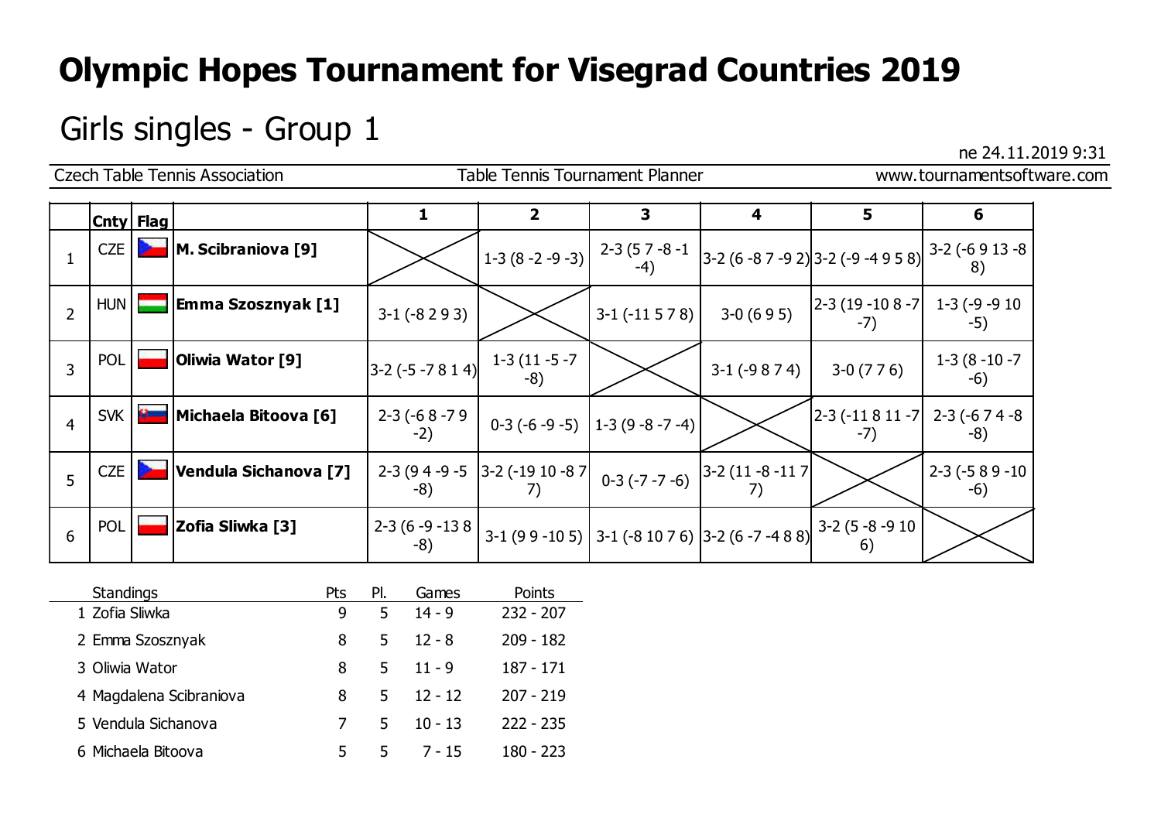## Girls singles - Group  $1$

|                |            |              | <b>Czech Table Tennis Association</b> | Table Tennis Tournament Planner                      |                                                                                    |                                  |                   |                                                                                                                                                                                                                                                                                                                                        |                          | www.tournamentsoftware.com |
|----------------|------------|--------------|---------------------------------------|------------------------------------------------------|------------------------------------------------------------------------------------|----------------------------------|-------------------|----------------------------------------------------------------------------------------------------------------------------------------------------------------------------------------------------------------------------------------------------------------------------------------------------------------------------------------|--------------------------|----------------------------|
|                | Cnty  Flag |              |                                       |                                                      | $\overline{2}$                                                                     | 3                                | 4                 | 5                                                                                                                                                                                                                                                                                                                                      | 6                        |                            |
|                | CZE        |              | M. Scibraniova [9]                    |                                                      |                                                                                    |                                  |                   | $\left  1 - 3 (8 - 2 - 9 - 3) \right $ $\left  2 - 3 (5 - 8 - 1) \atop -4 \right  3 - 2 (6 - 8 - 9 - 2) \right  3 - 2 (-9 - 4 + 9 + 8) \left  3 - 2 (-6 + 9 + 13 - 8) \atop -8 \right $                                                                                                                                                |                          |                            |
| $\overline{2}$ |            | $HUN$ $\Box$ | Emma Szosznyak [1]                    | $3-1$ ( $-8293$ )                                    |                                                                                    | $3-1$ (-11 5 7 8)                | $3-0(695)$        | $\begin{vmatrix} 2-3 & (19-10 & 8 & -7 \\ 1 & -3 & (-9) & -9 & 10 \\ 1 & 0 & 0 & 10 & 10 \\ 0 & 0 & 0 & 0 & 10 \\ 0 & 0 & 0 & 0 & 0 \\ 0 & 0 & 0 & 0 & 0 \\ 0 & 0 & 0 & 0 & 0 \\ 0 & 0 & 0 & 0 & 0 \\ 0 & 0 & 0 & 0 & 0 \\ 0 & 0 & 0 & 0 & 0 \\ 0 & 0 & 0 & 0 & 0 & 0 \\ 0 & 0 & 0 & 0 & 0 & 0 \\ 0 & 0 & 0 & 0 & 0 & 0 \\ 0$<br>$-7)$ | $-5)$                    |                            |
| 3              | <b>POL</b> |              | Oliwia Wator [9]                      | $\left 3-2\left(-5-7814\right)\right $ $1-3(11-5-7)$ |                                                                                    |                                  | $3-1$ ( $-9874$ ) | $3-0(776)$                                                                                                                                                                                                                                                                                                                             | $1-3(8-10-7)$<br>$-6)$   |                            |
| $\overline{4}$ |            |              | SVK   <b>B.</b> Michaela Bitoova [6]  | 2-3 (-6 8 -7 9<br>$-2)$                              |                                                                                    | $0-3(-6-9-5)$   1-3 (9 -8 -7 -4) |                   | $\begin{vmatrix} 2-3 & -11 & 8 & 11 & -7 \end{vmatrix}$ 2-3 (-6 7 4 -8)<br>$-7)$                                                                                                                                                                                                                                                       | -8)                      |                            |
| 5              | <b>CZE</b> |              | Vendula Sichanova [7]                 | $-8)$                                                | 2-3 (9 4 - 9 - 5 3 - 2 (-19 10 - 8 7 0 - 3 (- 7 - 7 - 6) $3^{-2}$ (11 - 8 - 11 7 ) |                                  |                   |                                                                                                                                                                                                                                                                                                                                        | $2-3$ ( $-589-10$<br>-6) |                            |
| 6              | <b>POL</b> |              | Zofia Sliwka [3]                      | $2-3(6-9-138)$<br>$-8)$                              |                                                                                    |                                  |                   | $\vert$ 3-1 (9 9 -10 5) $\vert$ 3-1 (-8 10 7 6) $\vert$ 3-2 (6 -7 -4 8 8) $\vert$ <sup>3-2</sup> (5 -8 -9 10 $\vert$<br>6)                                                                                                                                                                                                             |                          |                            |

| <b>Standings</b>        | Pts | PI. | Games     | Points      |
|-------------------------|-----|-----|-----------|-------------|
| 1 Zofia Sliwka          | 9   | 5   | $14 - 9$  | $232 - 207$ |
| 2 Emma Szosznyak        | 8   | 5   | $12 - 8$  | $209 - 182$ |
| 3 Oliwia Wator          | 8   | 5   | $11 - 9$  | 187 - 171   |
| 4 Magdalena Scibraniova | 8   | 5   | $12 - 12$ | $207 - 219$ |
| 5 Vendula Sichanova     |     | 5   | $10 - 13$ | $222 - 235$ |
| 6 Michaela Bitoova      | 5   | 5   | $7 - 15$  | 180 - 223   |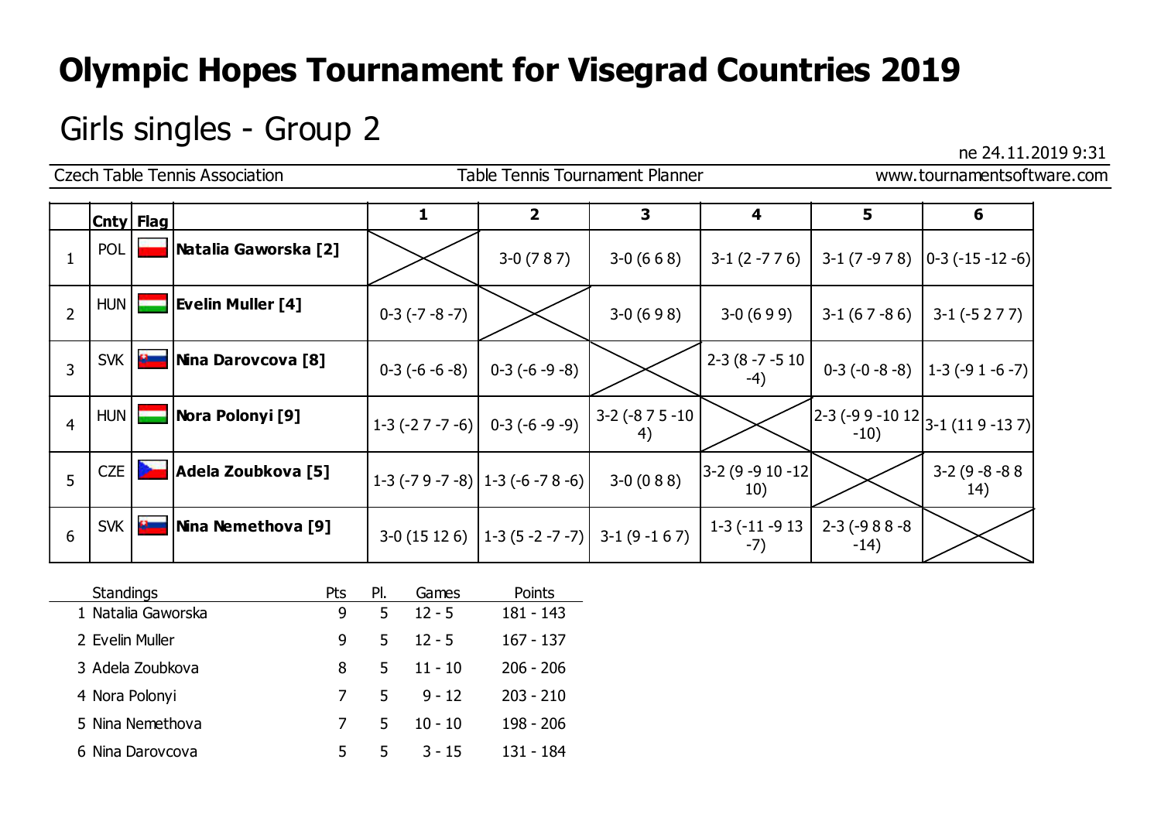## Girls singles - Group 2  $\frac{1}{2}$  ne 24.11.2019 9:31

|                |                  |              | <b>Czech Table Tennis Association</b> | Table Tennis Tournament Planner |                                                    |                              |                             |                            | www.tournamentsoftware.com                                                                            |  |  |
|----------------|------------------|--------------|---------------------------------------|---------------------------------|----------------------------------------------------|------------------------------|-----------------------------|----------------------------|-------------------------------------------------------------------------------------------------------|--|--|
|                | <b>Cnty Flag</b> |              |                                       |                                 | $\overline{2}$                                     | 3                            | 4                           | 5                          | 6                                                                                                     |  |  |
|                | <b>POL</b>       |              | <b>Natalia Gaworska [2]</b>           |                                 | $3-0(787)$                                         | $3-0(668)$                   |                             |                            | $3-1$ (2 -7 7 6) $\vert$ 3-1 (7 -9 7 8) $\vert$ 0-3 (-15 -12 -6)                                      |  |  |
| $\overline{2}$ | HUN   [          |              | <b>Evelin Muller [4]</b>              | $0-3(-7-8-7)$                   |                                                    | $3-0(698)$                   | $3-0(699)$                  | $3-1(67-86)$               | $3-1(-5277)$                                                                                          |  |  |
| 3              | SVK              | $\mathbf{z}$ | <b>Nina Darovcova [8]</b>             | $0-3(-6-6-8)$                   | $0-3(-6-9-8)$                                      |                              | 2-3 (8 -7 -5 10<br>-4)      |                            | $0-3(-0-8-8)$   1-3 (-9 1 -6 -7)                                                                      |  |  |
| $\overline{4}$ | HUN   [          |              | <b>Nora Polonyi [9]</b>               |                                 | $1-3$ (-2 7 -7 -6) 0-3 (-6 -9 -9)                  | $3-2$ ( $-8$ 7 5 $-10$<br>4) |                             | $-10)$                     | $\left 2-3\left(-9\frac{9}{2}-10\frac{12}{3}-1\right)\left(11\frac{9}{2}-13\frac{7}{3}\right)\right $ |  |  |
| 5              | CZE              |              | Adela Zoubkova [5]                    |                                 | 1-3 (-7 9 -7 -8) $ 1-3$ (-6 -7 8 -6)               | $3-0(088)$                   | $ 3-2(9-910-12 )$<br>10)    |                            | $3-2(9-8-88)$<br>14)                                                                                  |  |  |
| 6              |                  | SVK <b>B</b> | Nina Nemethova [9]                    |                                 | $3-0$ (15 12 6)   1-3 (5 -2 -7 -7)  3-1 (9 -1 6 7) |                              | $1-3$ ( $-11-9$ 13<br>$-7)$ | $2-3$ ( $-988-8$<br>$-14)$ |                                                                                                       |  |  |

| <b>Standings</b>   | Pts | PI. | Games     | Points      |
|--------------------|-----|-----|-----------|-------------|
| 1 Natalia Gaworska | 9   | 5   | $12 - 5$  | $181 - 143$ |
| 2 Evelin Muller    | 9   | 5.  | $12 - 5$  | $167 - 137$ |
| 3 Adela Zoubkova   | 8   | 5   | $11 - 10$ | $206 - 206$ |
| 4 Nora Polonyi     |     | 5.  | $9 - 12$  | $203 - 210$ |
| 5 Nina Nemethova   |     | 5.  | $10 - 10$ | 198 - 206   |
| 6 Nina Darovcova   | 5.  | 5.  | $3 - 15$  | 131 - 184   |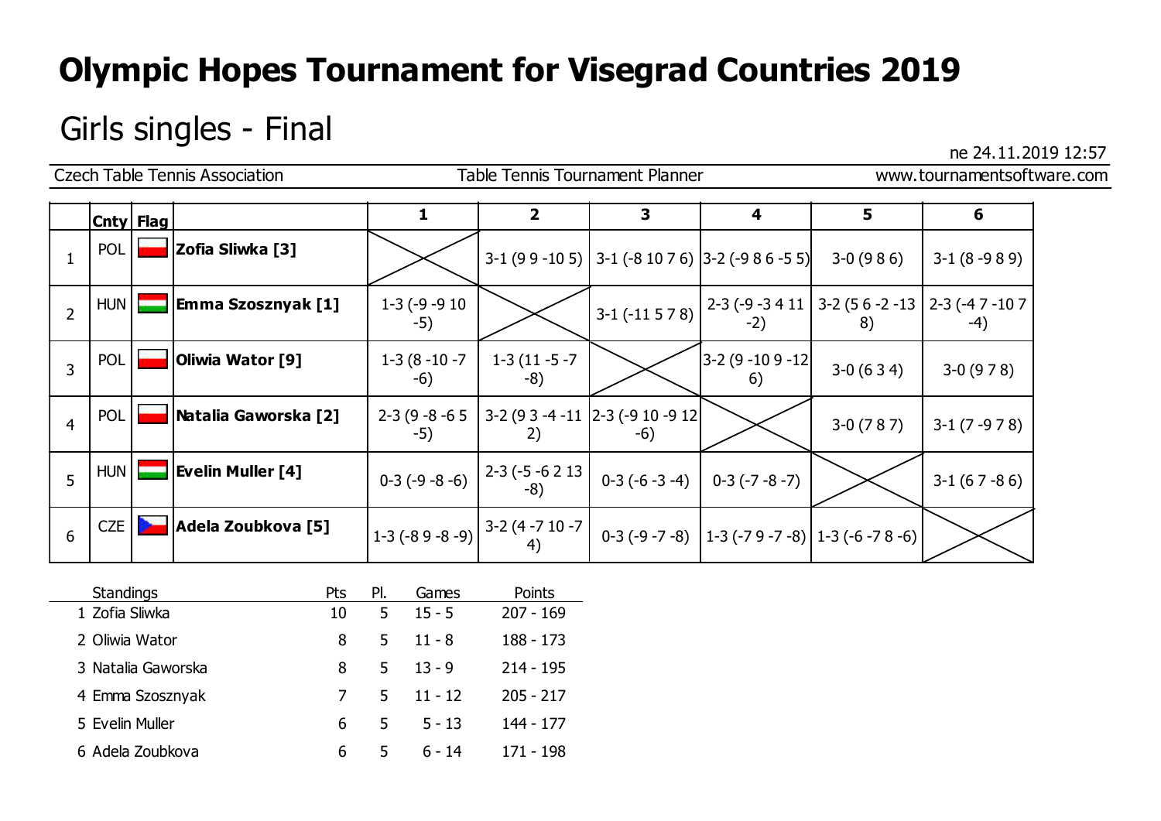# Girls singles - Final  $\frac{1}{2}$  ne 24.11.2019 12:57

| <b>Czech Table Tennis Association</b><br><b>Table Tennis Tournament Planner</b><br>www.tournamentsoftware.com |            |  |                           |                          |                                                                                                                                                     |                                            |                                                                                                                                                                             |            |              |  |
|---------------------------------------------------------------------------------------------------------------|------------|--|---------------------------|--------------------------|-----------------------------------------------------------------------------------------------------------------------------------------------------|--------------------------------------------|-----------------------------------------------------------------------------------------------------------------------------------------------------------------------------|------------|--------------|--|
|                                                                                                               | Cnty  Flag |  |                           | 1                        | $\overline{\mathbf{2}}$                                                                                                                             | 3                                          | 4                                                                                                                                                                           | 5          | 6            |  |
| $\mathbf{1}$                                                                                                  | <b>POL</b> |  | Zofia Sliwka [3]          |                          |                                                                                                                                                     |                                            | $3-1$ (9 9 -10 5) 3-1 (-8 10 7 6) 3-2 (-9 8 6 -5 5)                                                                                                                         | $3-0(986)$ | $3-1(8-989)$ |  |
| $\overline{2}$                                                                                                | HUN        |  | <b>Emma Szosznyak [1]</b> | $1-3$ (-9 -9 10<br>$-5)$ |                                                                                                                                                     |                                            | $\left  \right.3-1$ (-11 5 7 8) $\left  \right.2-3$ (-9 -3 4 11 $\left  \right.3-2$ (5 6 -2 -13 $\left  \right.2-3$ (-4 7 -10 7<br>-2)                                      | 8)         | -4)          |  |
| 3                                                                                                             | <b>POL</b> |  | Oliwia Wator [9]          | $1-3(8-10-7)$<br>$-6)$   | $1-3(11-5-7)$<br>-8)                                                                                                                                |                                            | $ 3-2(9-109-12 $<br>6)                                                                                                                                                      | $3-0(634)$ | $3-0(978)$   |  |
| 4                                                                                                             | POL        |  | Natalia Gaworska [2]      | $2-3(9-8-65)$<br>$-5)$   | 2)                                                                                                                                                  | 3-2 (9 3 -4 -11 2-3 (-9 10 -9 12)<br>$-6)$ |                                                                                                                                                                             | $3-0(787)$ | $3-1(7-978)$ |  |
| 5                                                                                                             | HUN        |  | <b>Evelin Muller [4]</b>  | $0-3(-9-8-6)$            | $\begin{bmatrix} 2-3 & (-5 & -6 & 2 & 13 \\ -8 & -8 & -1 & -1 & -1 \\ 2 & 2 & 2 & -1 & -1 \\ 3 & 2 & 2 & 3 & -1 \\ 3 & 3 & 2 & 3 & 1 \end{bmatrix}$ | $0-3(-6-3-4)$                              | $0-3(-7-8-7)$                                                                                                                                                               |            | $3-1(67-86)$ |  |
| 6                                                                                                             | <b>CZE</b> |  | Adela Zoubkova [5]        |                          |                                                                                                                                                     |                                            | $\left  1-3 \left(-89-8-9\right) \right  3-2 \left(4-710-7 \atop 4\right) 0-3 \left(-9-7-8\right) \right  1-3 \left(-79-7-8\right) \left  1-3 \left(-6-78-6\right) \right $ |            |              |  |

| <b>Standings</b>   | Pts | PI. | Games     | Points      |
|--------------------|-----|-----|-----------|-------------|
| 1 Zofia Sliwka     | 10  | 5   | $15 - 5$  | $207 - 169$ |
| 2 Oliwia Wator     | 8   | 5   | $11 - 8$  | $188 - 173$ |
| 3 Natalia Gaworska | 8   | 5.  | $13 - 9$  | $214 - 195$ |
| 4 Emma Szosznyak   |     | 5.  | $11 - 12$ | $205 - 217$ |
| 5 Evelin Muller    | 6   | 5.  | $5 - 13$  | 144 - 177   |
| 6 Adela Zoubkova   | 6   | 5   | ճ - 14    | 171 - 198   |